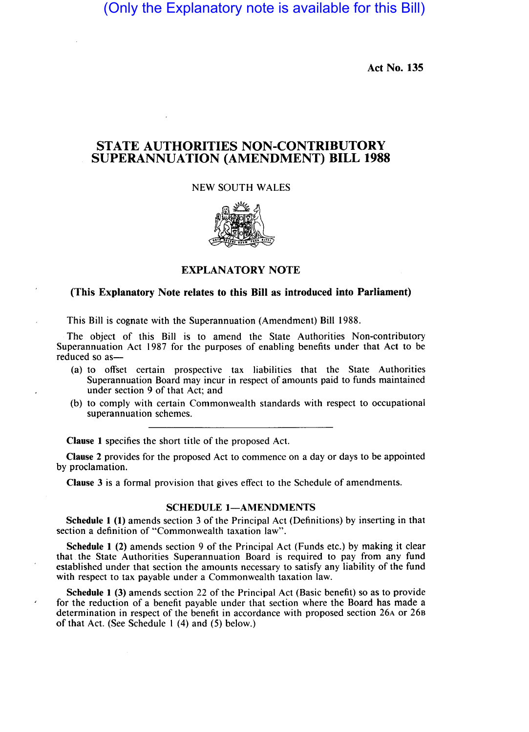(Only the Explanatory note is available for this Bill)

Act No. 135

# STATE AUTHORITIES NON-CONTRIBUTORY SUPERANNUATION (AMENDMENT) BILL 1988

### NEW SOUTH WALES



## EXPLANATORY NOTE

### (This Explanatory Note relates to this Bill as introduced into Parliament)

This Bill is cognate with the Superannuation (Amendment) Bill 1988.

The object of this Bill is to amend the State Authorities Non-contributory Superannuation Act 1987 for the purposes of enabling benefits under that Act to be reduced so as-

- (a) to offset certain prospective tax liabilities that the State Authorities Superannuation Board may incur in respect of amounts paid to funds maintained under section 9 of that Act; and
- (b) to comply with certain Commonwealth standards with respect to occupational superannuation schemes.

Clause 1 specifies the short title of the proposed Act.

Clause 2 provides for the proposed Act to commence on a day or days to be appointed by proclamation.

Clause 3 is a formal provision that gives effect to the Schedule of amendments.

#### SCHEDULE 1-AMENDMENTS

Schedule 1 (1) amends section 3 of the Principal Act (Definitions) by inserting in that section a definition of "Commonwealth taxation law".

Schedule 1 (2) amends section 9 of the Principal Act (Funds etc.) by making it clear that the State Authorities Superannuation Board is required to pay from any fund established under that section the amounts necessary to satisfy any liability of the fund with respect to tax payable under a Commonwealth taxation law.

Schedule 1 (3) amends section 22 of the Principal Act (Basic benefit) so as to provide for the reduction of a benefit payable under that section where the Board has made a determination in respect of the benefit in accordance with proposed section 26A or 26B of that Act. (See Schedule I (4) and (5) below.)